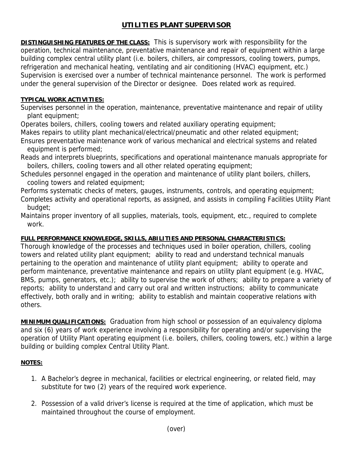## **UTILITIES PLANT SUPERVISOR**

**DISTINGUISHING FEATURES OF THE CLASS:** This is supervisory work with responsibility for the operation, technical maintenance, preventative maintenance and repair of equipment within a large building complex central utility plant (i.e. boilers, chillers, air compressors, cooling towers, pumps, refrigeration and mechanical heating, ventilating and air conditioning (HVAC) equipment, etc.) Supervision is exercised over a number of technical maintenance personnel. The work is performed under the general supervision of the Director or designee. Does related work as required.

## **TYPICAL WORK ACTIVITIES:**

Supervises personnel in the operation, maintenance, preventative maintenance and repair of utility plant equipment;

Operates boilers, chillers, cooling towers and related auxiliary operating equipment;

Makes repairs to utility plant mechanical/electrical/pneumatic and other related equipment;

Ensures preventative maintenance work of various mechanical and electrical systems and related equipment is performed;

Reads and interprets blueprints, specifications and operational maintenance manuals appropriate for boilers, chillers, cooling towers and all other related operating equipment;

- Schedules personnel engaged in the operation and maintenance of utility plant boilers, chillers, cooling towers and related equipment;
- Performs systematic checks of meters, gauges, instruments, controls, and operating equipment; Completes activity and operational reports, as assigned, and assists in compiling Facilities Utility Plant budget;
- Maintains proper inventory of all supplies, materials, tools, equipment, etc., required to complete work.

## **FULL PERFORMANCE KNOWLEDGE, SKILLS, ABILITIES AND PERSONAL CHARACTERISTICS:**

Thorough knowledge of the processes and techniques used in boiler operation, chillers, cooling towers and related utility plant equipment; ability to read and understand technical manuals pertaining to the operation and maintenance of utility plant equipment; ability to operate and perform maintenance, preventative maintenance and repairs on utility plant equipment (e.g. HVAC, BMS, pumps, generators, etc.); ability to supervise the work of others; ability to prepare a variety of reports; ability to understand and carry out oral and written instructions; ability to communicate effectively, both orally and in writing; ability to establish and maintain cooperative relations with others.

**MINIMUM QUALIFICATIONS:** Graduation from high school or possession of an equivalency diploma and six (6) years of work experience involving a responsibility for operating and/or supervising the operation of Utility Plant operating equipment (i.e. boilers, chillers, cooling towers, etc.) within a large building or building complex Central Utility Plant.

## **NOTES:**

- 1. A Bachelor's degree in mechanical, facilities or electrical engineering, or related field, may substitute for two (2) years of the required work experience.
- 2. Possession of a valid driver's license is required at the time of application, which must be maintained throughout the course of employment.